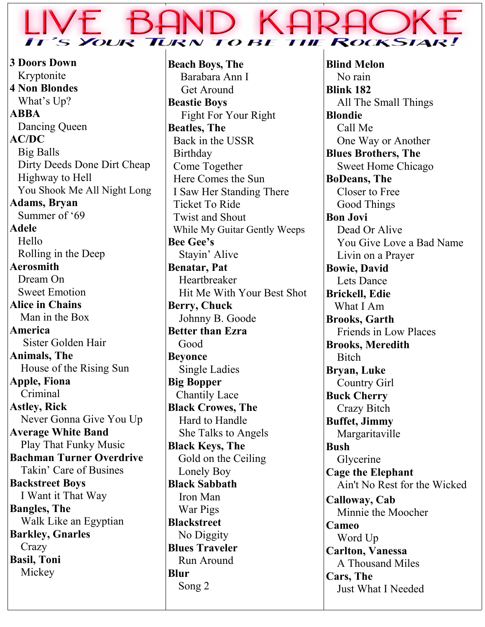#### *OUR*  $RN$  TO **ROCKSL TIF**

**3 Doors Down** Kryptonite **4 Non Blondes** What's Up? **ABBA** Dancing Queen **AC/DC** Big Balls Dirty Deeds Done Dirt Cheap Highway to Hell You Shook Me All Night Long **Adams, Bryan** Summer of '69 **Adele** Hello Rolling in the Deep **Aerosmith** Dream On Sweet Emotion **Alice in Chains** Man in the Box **America** Sister Golden Hair **Animals, The** House of the Rising Sun **Apple, Fiona** Criminal **Astley, Rick** Never Gonna Give You Up **Average White Band** Play That Funky Music **Bachman Turner Overdrive** Takin' Care of Busines **Backstreet Boys** I Want it That Way **Bangles, The** Walk Like an Egyptian **Barkley, Gnarles Crazy Basil, Toni** Mickey

**Beach Boys, The** Barabara Ann I Get Around **Beastie Boys** Fight For Your Right **Beatles, The** Back in the USSR Birthday Come Together Here Comes the Sun I Saw Her Standing There Ticket To Ride Twist and Shout While My Guitar Gently Weeps **Bee Gee's** Stayin' Alive **Benatar, Pat Heartbreaker**  Hit Me With Your Best Shot **Berry, Chuck** Johnny B. Goode **Better than Ezra** Good **Beyonce** Single Ladies **Big Bopper** Chantily Lace **Black Crowes, The**  Hard to Handle She Talks to Angels **Black Keys, The** Gold on the Ceiling Lonely Boy **Black Sabbath** Iron Man War Pigs **Blackstreet** No Diggity **Blues Traveler** Run Around **Blur** Song 2

**Blind Melon** No rain **Blink 182** All The Small Things **Blondie** Call Me One Way or Another **Blues Brothers, The** Sweet Home Chicago **BoDeans, The** Closer to Free Good Things **Bon Jovi** Dead Or Alive You Give Love a Bad Name Livin on a Prayer **Bowie, David** Lets Dance **Brickell, Edie** What I Am **Brooks, Garth** Friends in Low Places **Brooks, Meredith Bitch Bryan, Luke** Country Girl **Buck Cherry** Crazy Bitch **Buffet, Jimmy** Margaritaville **Bush** Glycerine **Cage the Elephant** Ain't No Rest for the Wicked **Calloway, Cab** Minnie the Moocher **Cameo** Word Up **Carlton, Vanessa** A Thousand Miles **Cars, The** Just What I Needed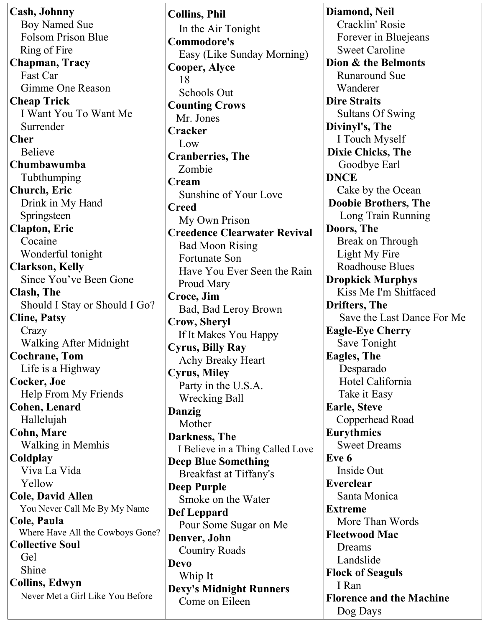**Cash, Johnny** Boy Named Sue Folsom Prison Blue Ring of Fire **Chapman, Tracy** Fast Car Gimme One Reason **Cheap Trick** I Want You To Want Me Surrender **Cher** Believe **Chumbawumba** Tubthumping **Church, Eric** Drink in My Hand Springsteen **Clapton, Eric** Cocaine Wonderful tonight **Clarkson, Kelly** Since You've Been Gone **Clash, The** Should I Stay or Should I Go? **Cline, Patsy Crazy**  Walking After Midnight **Cochrane, Tom** Life is a Highway **Cocker, Joe** Help From My Friends **Cohen, Lenard** Hallelujah **Cohn, Marc** Walking in Memhis **Coldplay** Viva La Vida Yellow **Cole, David Allen** You Never Call Me By My Name **Cole, Paula** Where Have All the Cowboys Gone? **Collective Soul** Gel Shine **Collins, Edwyn** Never Met a Girl Like You Before

**Collins, Phil** In the Air Tonight **Commodore's** Easy (Like Sunday Morning) **Cooper, Alyce** 18 Schools Out **Counting Crows** Mr. Jones **Cracker** Low **Cranberries, The** Zombie **Cream** Sunshine of Your Love **Creed** My Own Prison **Creedence Clearwater Revival** Bad Moon Rising Fortunate Son Have You Ever Seen the Rain Proud Mary **Croce, Jim** Bad, Bad Leroy Brown **Crow, Sheryl** If It Makes You Happy **Cyrus, Billy Ray** Achy Breaky Heart **Cyrus, Miley** Party in the U.S.A. Wrecking Ball **Danzig** Mother **Darkness, The** I Believe in a Thing Called Love **Deep Blue Something** Breakfast at Tiffany's **Deep Purple** Smoke on the Water **Def Leppard** Pour Some Sugar on Me **Denver, John** Country Roads **Devo** Whip It **Dexy's Midnight Runners** Come on Eileen

**Diamond, Neil** Cracklin' Rosie Forever in Bluejeans Sweet Caroline **Dion & the Belmonts** Runaround Sue Wanderer **Dire Straits** Sultans Of Swing **Divinyl's, The** I Touch Myself **Dixie Chicks, The** Goodbye Earl **DNCE** Cake by the Ocean **Doobie Brothers, The** Long Train Running **Doors, The** Break on Through Light My Fire Roadhouse Blues **Dropkick Murphys** Kiss Me I'm Shitfaced **Drifters, The** Save the Last Dance For Me **Eagle-Eye Cherry** Save Tonight **Eagles, The** Desparado Hotel California Take it Easy **Earle, Steve** Copperhead Road **Eurythmics** Sweet Dreams **Eve 6** Inside Out **Everclear** Santa Monica **Extreme** More Than Words **Fleetwood Mac** Dreams Landslide **Flock of Seaguls** I Ran **Florence and the Machine** Dog Days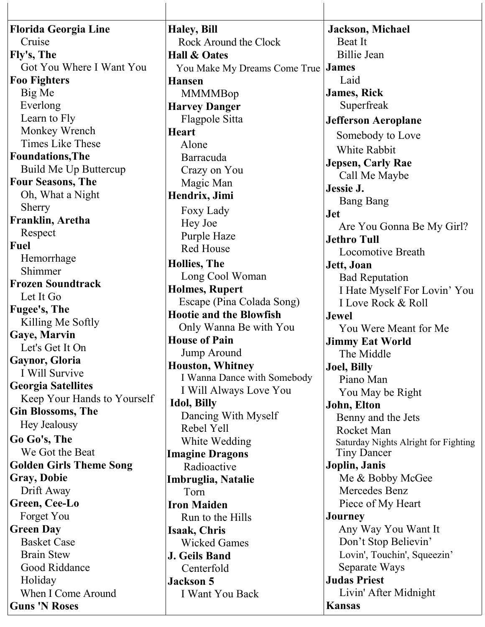| <b>Florida Georgia Line</b>    | <b>Haley</b> , Bill                       | <b>Jackson</b> , Michael             |
|--------------------------------|-------------------------------------------|--------------------------------------|
| Cruise                         | Rock Around the Clock                     | Beat It                              |
| Fly's, The                     | <b>Hall &amp; Oates</b>                   | Billie Jean                          |
| Got You Where I Want You       | You Make My Dreams Come True <b>James</b> |                                      |
| <b>Foo Fighters</b>            | <b>Hansen</b>                             | Laid                                 |
| Big Me                         | <b>MMMMBop</b>                            | <b>James, Rick</b>                   |
| Everlong                       | <b>Harvey Danger</b>                      | Superfreak                           |
| Learn to Fly                   | Flagpole Sitta                            | <b>Jefferson Aeroplane</b>           |
| Monkey Wrench                  | <b>Heart</b>                              | Somebody to Love                     |
| Times Like These               | Alone                                     | White Rabbit                         |
| <b>Foundations, The</b>        | Barracuda                                 | <b>Jepsen, Carly Rae</b>             |
| Build Me Up Buttercup          | Crazy on You                              | Call Me Maybe                        |
| <b>Four Seasons, The</b>       | Magic Man                                 | Jessie J.                            |
| Oh, What a Night               | Hendrix, Jimi                             | <b>Bang Bang</b>                     |
| Sherry                         | Foxy Lady                                 | <b>Jet</b>                           |
| Franklin, Aretha               | Hey Joe                                   | Are You Gonna Be My Girl?            |
| Respect                        | Purple Haze                               | <b>Jethro Tull</b>                   |
| <b>Fuel</b>                    | <b>Red House</b>                          | <b>Locomotive Breath</b>             |
| Hemorrhage                     | <b>Hollies</b> , The                      | Jett, Joan                           |
| Shimmer                        | Long Cool Woman                           | <b>Bad Reputation</b>                |
| <b>Frozen Soundtrack</b>       | <b>Holmes, Rupert</b>                     | I Hate Myself For Lovin' You         |
| Let It Go                      | Escape (Pina Colada Song)                 | I Love Rock & Roll                   |
| Fugee's, The                   | <b>Hootie and the Blowfish</b>            | <b>Jewel</b>                         |
| Killing Me Softly              | Only Wanna Be with You                    | You Were Meant for Me                |
| Gaye, Marvin                   | <b>House of Pain</b>                      | <b>Jimmy Eat World</b>               |
| Let's Get It On                | Jump Around                               | The Middle                           |
| Gaynor, Gloria                 | Houston, Whitney                          | <b>Joel, Billy</b>                   |
| I Will Survive                 | I Wanna Dance with Somebody               | Piano Man                            |
| <b>Georgia Satellites</b>      | I Will Always Love You                    | You May be Right                     |
| Keep Your Hands to Yourself    | <b>Idol</b> , Billy                       | John, Elton                          |
| <b>Gin Blossoms, The</b>       | Dancing With Myself                       | Benny and the Jets                   |
| Hey Jealousy                   | Rebel Yell                                | Rocket Man                           |
| Go Go's, The                   | White Wedding                             | Saturday Nights Alright for Fighting |
| We Got the Beat                | <b>Imagine Dragons</b>                    | Tiny Dancer                          |
| <b>Golden Girls Theme Song</b> | Radioactive                               | Joplin, Janis                        |
| <b>Gray, Dobie</b>             | Imbruglia, Natalie                        | Me & Bobby McGee                     |
| Drift Away                     | Torn                                      | Mercedes Benz                        |
| Green, Cee-Lo                  | <b>Iron Maiden</b>                        | Piece of My Heart                    |
| Forget You                     | Run to the Hills                          | <b>Journey</b>                       |
| <b>Green Day</b>               | Isaak, Chris                              | Any Way You Want It                  |
| <b>Basket Case</b>             | <b>Wicked Games</b>                       | Don't Stop Believin'                 |
| <b>Brain Stew</b>              | <b>J. Geils Band</b>                      | Lovin', Touchin', Squeezin'          |
| Good Riddance                  | Centerfold                                | Separate Ways                        |
| Holiday                        | <b>Jackson 5</b>                          | <b>Judas Priest</b>                  |
| When I Come Around             | I Want You Back                           | Livin' After Midnight                |
| <b>Guns 'N Roses</b>           |                                           | <b>Kansas</b>                        |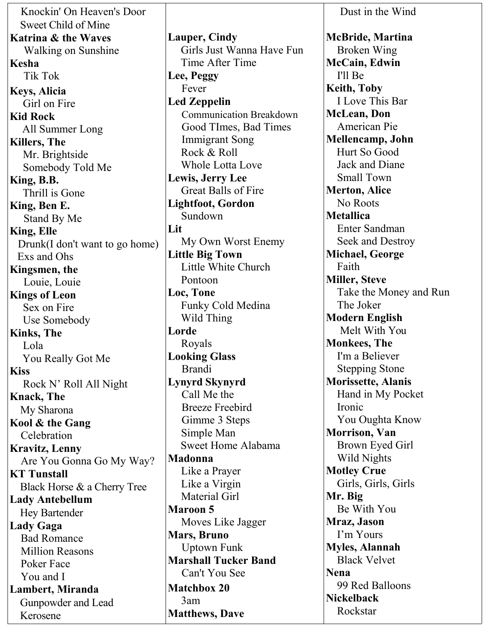Knockin' On Heaven's Door Sweet Child of Mine **Katrina & the Waves** Walking on Sunshine **Kesha** Tik Tok **Keys, Alicia** Girl on Fire **Kid Rock** All Summer Long **Killers, The** Mr. Brightside Somebody Told Me **King, B.B.** Thrill is Gone **King, Ben E.** Stand By Me **King, Elle** Drunk(I don't want to go home) Exs and Ohs **Kingsmen, the** Louie, Louie **Kings of Leon** Sex on Fire Use Somebody **Kinks, The** Lola You Really Got Me **Kiss** Rock N' Roll All Night **Knack, The** My Sharona **Kool & the Gang** Celebration **Kravitz, Lenny** Are You Gonna Go My Way? **KT Tunstall** Black Horse & a Cherry Tree **Lady Antebellum** Hey Bartender **Lady Gaga** Bad Romance Million Reasons Poker Face You and I **Lambert, Miranda**  Gunpowder and Lead Kerosene

**Lauper, Cindy** Girls Just Wanna Have Fun Time After Time **Lee, Peggy** Fever **Led Zeppelin** Communication Breakdown Good TImes, Bad Times Immigrant Song Rock & Roll Whole Lotta Love **Lewis, Jerry Lee** Great Balls of Fire **Lightfoot, Gordon** Sundown **Lit** My Own Worst Enemy **Little Big Town** Little White Church Pontoon **Loc, Tone** Funky Cold Medina Wild Thing **Lorde** Royals **Looking Glass** Brandi **Lynyrd Skynyrd** Call Me the Breeze Freebird Gimme 3 Steps Simple Man Sweet Home Alabama **Madonna** Like a Prayer Like a Virgin Material Girl **Maroon 5** Moves Like Jagger **Mars, Bruno** Uptown Funk **Marshall Tucker Band** Can't You See **Matchbox 20** 3am **Matthews, Dave**

 Dust in the Wind **McBride, Martina** Broken Wing **McCain, Edwin** I'll Be **Keith, Toby** I Love This Bar **McLean, Don** American Pie **Mellencamp, John** Hurt So Good Jack and Diane Small Town **Merton, Alice** No Roots **Metallica** Enter Sandman Seek and Destroy **Michael, George** Faith **Miller, Steve** Take the Money and Run The Joker **Modern English** Melt With You **Monkees, The** I'm a Believer Stepping Stone **Morissette, Alanis** Hand in My Pocket Ironic You Oughta Know **Morrison, Van** Brown Eyed Girl Wild Nights **Motley Crue** Girls, Girls, Girls **Mr. Big** Be With You **Mraz, Jason** I'm Yours **Myles, Alannah** Black Velvet **Nena** 99 Red Balloons **Nickelback** Rockstar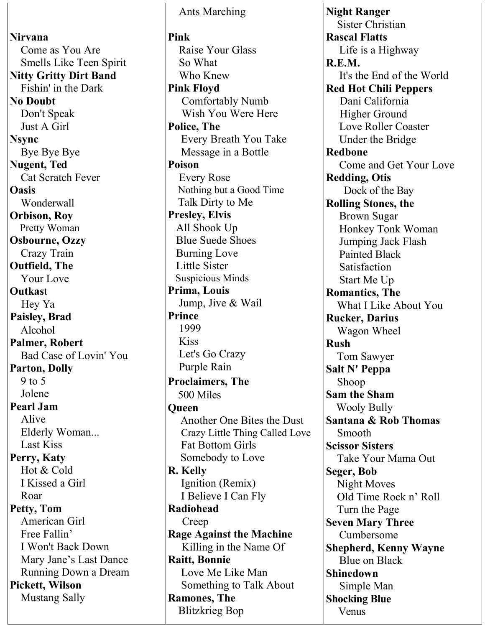**Nirvana** Come as You Are Smells Like Teen Spirit **Nitty Gritty Dirt Band** Fishin' in the Dark **No Doubt** Don't Speak Just A Girl **Nsync** Bye Bye Bye **Nugent, Ted** Cat Scratch Fever **Oasis** Wonderwall **Orbison, Roy** Pretty Woman **Osbourne, Ozzy** Crazy Train **Outfield, The** Your Love **Outkas**t Hey Ya **Paisley, Brad** Alcohol **Palmer, Robert** Bad Case of Lovin' You **Parton, Dolly** 9 to 5 Jolene **Pearl Jam** Alive Elderly Woman... Last Kiss **Perry, Katy** Hot & Cold I Kissed a Girl Roar **Petty, Tom**  American Girl Free Fallin' I Won't Back Down Mary Jane's Last Dance Running Down a Dream **Pickett, Wilson** Mustang Sally

 Ants Marching **Pink** Raise Your Glass So What Who Knew **Pink Floyd** Comfortably Numb Wish You Were Here **Police, The** Every Breath You Take Message in a Bottle **Poison** Every Rose Nothing but a Good Time Talk Dirty to Me **Presley, Elvis** All Shook Up Blue Suede Shoes Burning Love Little Sister Suspicious Minds **Prima, Louis** Jump, Jive & Wail **Prince** 1999 Kiss Let's Go Crazy Purple Rain **Proclaimers, The** 500 Miles **Queen** Another One Bites the Dust Crazy Little Thing Called Love Fat Bottom Girls Somebody to Love **R. Kelly** Ignition (Remix) I Believe I Can Fly **Radiohead** Creep **Rage Against the Machine** Killing in the Name Of **Raitt, Bonnie** Love Me Like Man Something to Talk About **Ramones, The** Blitzkrieg Bop

**Night Ranger** Sister Christian **Rascal Flatts** Life is a Highway **R.E.M.** It's the End of the World **Red Hot Chili Peppers** Dani California **Higher Ground** Love Roller Coaster Under the Bridge **Redbone** Come and Get Your Love **Redding, Otis** Dock of the Bay **Rolling Stones, the** Brown Sugar Honkey Tonk Woman Jumping Jack Flash Painted Black **Satisfaction** Start Me Up **Romantics, The** What I Like About You **Rucker, Darius** Wagon Wheel **Rush** Tom Sawyer **Salt N' Peppa** Shoop **Sam the Sham** Wooly Bully **Santana & Rob Thomas** Smooth **Scissor Sisters** Take Your Mama Out **Seger, Bob** Night Moves Old Time Rock n' Roll Turn the Page **Seven Mary Three** Cumbersome **Shepherd, Kenny Wayne** Blue on Black **Shinedown** Simple Man **Shocking Blue** Venus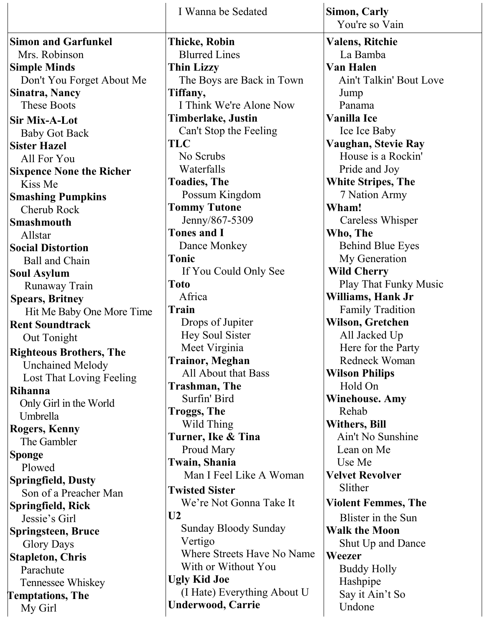|                                              | I Wanna be Sedated                      | Simon, Carly                               |
|----------------------------------------------|-----------------------------------------|--------------------------------------------|
|                                              |                                         | You're so Vain                             |
| <b>Simon and Garfunkel</b>                   | <b>Thicke, Robin</b>                    | <b>Valens, Ritchie</b>                     |
| Mrs. Robinson                                | <b>Blurred Lines</b>                    | La Bamba                                   |
| <b>Simple Minds</b>                          | <b>Thin Lizzy</b>                       | Van Halen                                  |
| Don't You Forget About Me                    | The Boys are Back in Town               | Ain't Talkin' Bout Love                    |
| <b>Sinatra, Nancy</b>                        | Tiffany,                                | Jump                                       |
| <b>These Boots</b>                           | I Think We're Alone Now                 | Panama                                     |
| <b>Sir Mix-A-Lot</b>                         | <b>Timberlake, Justin</b>               | <b>Vanilla Ice</b>                         |
| <b>Baby Got Back</b>                         | Can't Stop the Feeling                  | Ice Ice Baby                               |
| <b>Sister Hazel</b>                          | TLC                                     | Vaughan, Stevie Ray                        |
| All For You                                  | No Scrubs                               | House is a Rockin'                         |
| <b>Sixpence None the Richer</b>              | Waterfalls                              | Pride and Joy                              |
| Kiss Me                                      | <b>Toadies, The</b>                     | <b>White Stripes, The</b>                  |
| <b>Smashing Pumpkins</b>                     | Possum Kingdom                          | 7 Nation Army                              |
| Cherub Rock                                  | <b>Tommy Tutone</b>                     | Wham!                                      |
| <b>Smashmouth</b>                            | Jenny/867-5309                          | Careless Whisper                           |
| Allstar                                      | <b>Tones and I</b>                      | Who, The                                   |
| <b>Social Distortion</b>                     | Dance Monkey                            | <b>Behind Blue Eyes</b>                    |
| <b>Ball and Chain</b>                        | <b>Tonic</b>                            | My Generation                              |
| <b>Soul Asylum</b>                           | If You Could Only See                   | <b>Wild Cherry</b>                         |
| Runaway Train                                | <b>Toto</b>                             | Play That Funky Music                      |
| <b>Spears, Britney</b>                       | Africa                                  | Williams, Hank Jr                          |
| Hit Me Baby One More Time                    | Train                                   | <b>Family Tradition</b>                    |
| <b>Rent Soundtrack</b>                       | Drops of Jupiter                        | <b>Wilson, Gretchen</b>                    |
| Out Tonight                                  | Hey Soul Sister                         | All Jacked Up                              |
| <b>Righteous Brothers, The</b>               | Meet Virginia<br><b>Trainor, Meghan</b> | Here for the Party<br><b>Redneck Woman</b> |
| <b>Unchained Melody</b>                      | All About that Bass                     | <b>Wilson Philips</b>                      |
| Lost That Loving Feeling                     | <b>Trashman, The</b>                    | Hold On                                    |
| <b>Rihanna</b>                               | Surfin' Bird                            | <b>Winehouse. Amy</b>                      |
| Only Girl in the World                       | <b>Troggs, The</b>                      | Rehab                                      |
| Umbrella                                     | Wild Thing                              | <b>Withers, Bill</b>                       |
| <b>Rogers, Kenny</b>                         | Turner, Ike & Tina                      | Ain't No Sunshine                          |
| The Gambler                                  | Proud Mary                              | Lean on Me                                 |
| <b>Sponge</b>                                | Twain, Shania                           | Use Me                                     |
| Plowed                                       | Man I Feel Like A Woman                 | <b>Velvet Revolver</b>                     |
| <b>Springfield, Dusty</b>                    | <b>Twisted Sister</b>                   | Slither                                    |
| Son of a Preacher Man                        | We're Not Gonna Take It                 | <b>Violent Femmes, The</b>                 |
| Springfield, Rick                            | U <sub>2</sub>                          | Blister in the Sun                         |
| Jessie's Girl                                | <b>Sunday Bloody Sunday</b>             | <b>Walk the Moon</b>                       |
| <b>Springsteen, Bruce</b>                    | Vertigo                                 | <b>Shut Up and Dance</b>                   |
| <b>Glory Days</b>                            | Where Streets Have No Name              | Weezer                                     |
| <b>Stapleton, Chris</b><br>Parachute         | With or Without You                     | <b>Buddy Holly</b>                         |
|                                              | <b>Ugly Kid Joe</b>                     | Hashpipe                                   |
| Tennessee Whiskey<br><b>Temptations, The</b> | (I Hate) Everything About U             | Say it Ain't So                            |
| My Girl                                      | <b>Underwood, Carrie</b>                | Undone                                     |
|                                              |                                         |                                            |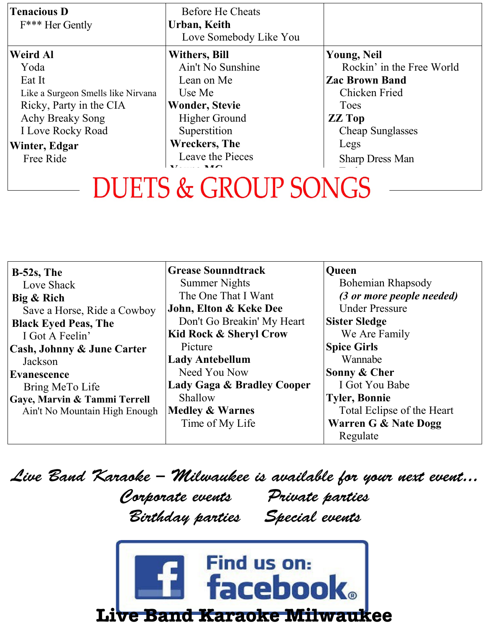| <b>Tenacious D</b><br>F*** Her Gently | <b>Before He Cheats</b><br>Urban, Keith<br>Love Somebody Like You |                           |
|---------------------------------------|-------------------------------------------------------------------|---------------------------|
| <b>Weird Al</b>                       | <b>Withers, Bill</b>                                              | <b>Young, Neil</b>        |
| Yoda                                  | Ain't No Sunshine                                                 | Rockin' in the Free World |
| Eat It                                | Lean on Me                                                        | <b>Zac Brown Band</b>     |
| Like a Surgeon Smells like Nirvana    | Use Me                                                            | Chicken Fried             |
| Ricky, Party in the CIA               | <b>Wonder, Stevie</b>                                             | Toes                      |
| <b>Achy Breaky Song</b>               | <b>Higher Ground</b>                                              | <b>ZZ</b> Top             |
| <b>I Love Rocky Road</b>              | Superstition                                                      | <b>Cheap Sunglasses</b>   |
| Winter, Edgar                         | <b>Wreckers</b> , The                                             | Legs                      |
| Free Ride                             | Leave the Pieces<br>$\mathbf{V}$ . $\mathbf{M}$ $\Omega$          | <b>Sharp Dress Man</b>    |

### $\Omega$   $CD$  $\overline{\phantom{a}}$

| $B-52s$ , The                 | <b>Grease Sounndtrack</b>         | <b>Oueen</b>                    |
|-------------------------------|-----------------------------------|---------------------------------|
| Love Shack                    | <b>Summer Nights</b>              | Bohemian Rhapsody               |
| Big & Rich                    | The One That I Want               | (3 or more people needed)       |
| Save a Horse, Ride a Cowboy   | John, Elton & Keke Dee            | <b>Under Pressure</b>           |
| <b>Black Eyed Peas, The</b>   | Don't Go Breakin' My Heart        | <b>Sister Sledge</b>            |
| I Got A Feelin'               | <b>Kid Rock &amp; Sheryl Crow</b> | We Are Family                   |
| Cash, Johnny & June Carter    | Picture                           | <b>Spice Girls</b>              |
| Jackson                       | <b>Lady Antebellum</b>            | Wannabe                         |
| <b>Evanescence</b>            | Need You Now                      | Sonny & Cher                    |
| Bring MeTo Life               | Lady Gaga & Bradley Cooper        | I Got You Babe                  |
| Gaye, Marvin & Tammi Terrell  | Shallow                           | <b>Tyler, Bonnie</b>            |
| Ain't No Mountain High Enough | <b>Medley &amp; Warnes</b>        | Total Eclipse of the Heart      |
|                               | Time of My Life                   | <b>Warren G &amp; Nate Dogg</b> |
|                               |                                   | Regulate                        |

Live Band Karaoke – Milwaukee is available for your next event...

Corporate events Private parties Birthday parties Special events

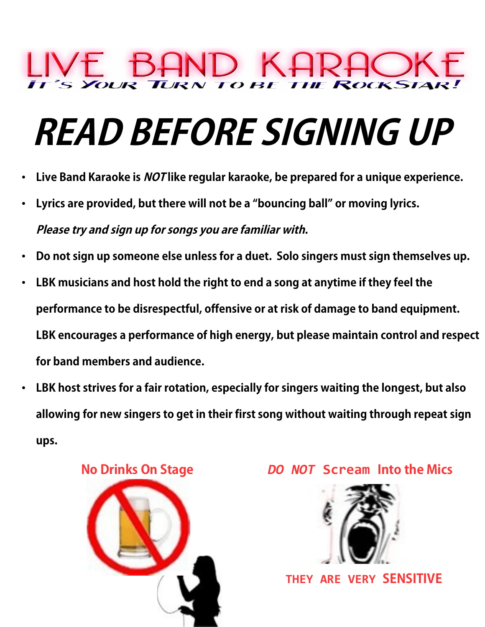# D KA

## **READ BEFORE SIGNING UP**

- **Live Band Karaoke is NOT like regular karaoke, be prepared for a unique experience.**
- **Lyrics are provided, but there will not be a "bouncing ball" or moving lyrics. Please try and sign up for songs you are familiar with.**
- **Do not sign up someone else unless for a duet. Solo singers must sign themselves up.**
- **LBK musicians and host hold the right to end a song at anytime if they feel the performance to be disrespectful, offensive or at risk of damage to band equipment. LBK encourages a performance of high energy, but please maintain control and respect for band members and audience.**
- **LBK host strives for a fair rotation, especially for singers waiting the longest, but also allowing for new singers to get in their first song without waiting through repeat sign ups.**



#### **No Drinks On Stage** *DO NOT* **Scream Into the Mics**

![](_page_7_Picture_9.jpeg)

 **THEY ARE VERY SENSITIVE**